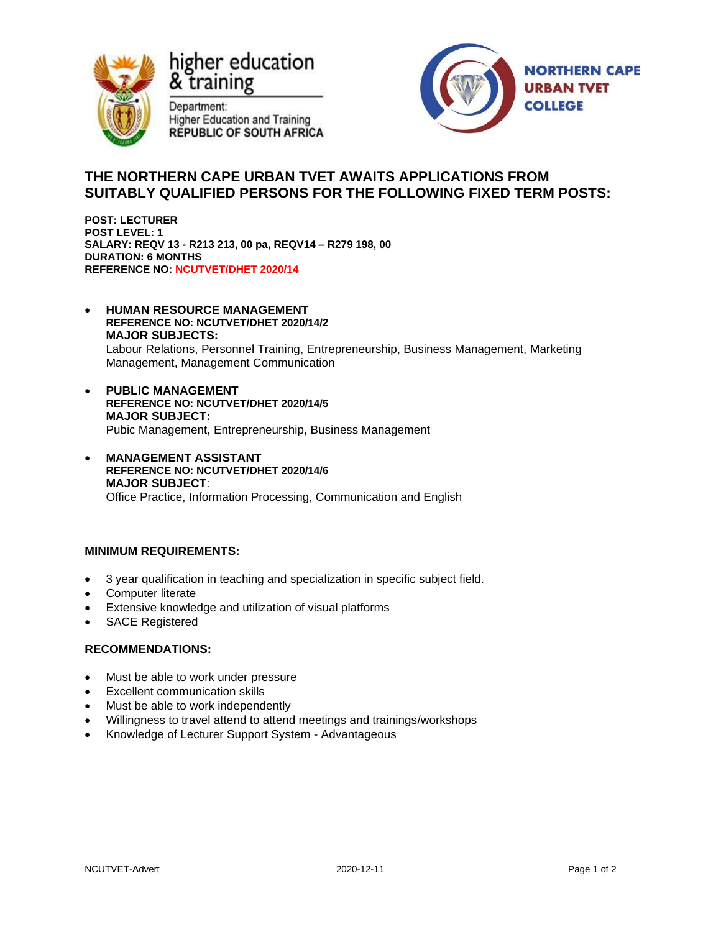

higher education & training

Department: **Higher Education and Training REPUBLIC OF SOUTH AFRICA** 



# **THE NORTHERN CAPE URBAN TVET AWAITS APPLICATIONS FROM SUITABLY QUALIFIED PERSONS FOR THE FOLLOWING FIXED TERM POSTS:**

**POST: LECTURER POST LEVEL: 1 SALARY: REQV 13 - R213 213, 00 pa, REQV14 – R279 198, 00 DURATION: 6 MONTHS REFERENCE NO: NCUTVET/DHET 2020/14**

- **HUMAN RESOURCE MANAGEMENT REFERENCE NO: NCUTVET/DHET 2020/14/2 MAJOR SUBJECTS:** Labour Relations, Personnel Training, Entrepreneurship, Business Management, Marketing Management, Management Communication
- **PUBLIC MANAGEMENT REFERENCE NO: NCUTVET/DHET 2020/14/5 MAJOR SUBJECT:** Pubic Management, Entrepreneurship, Business Management
- **MANAGEMENT ASSISTANT REFERENCE NO: NCUTVET/DHET 2020/14/6 MAJOR SUBJECT**: Office Practice, Information Processing, Communication and English

## **MINIMUM REQUIREMENTS:**

- 3 year qualification in teaching and specialization in specific subject field.
- Computer literate
- Extensive knowledge and utilization of visual platforms
- SACE Registered

#### **RECOMMENDATIONS:**

- Must be able to work under pressure
- Excellent communication skills
- Must be able to work independently
- Willingness to travel attend to attend meetings and trainings/workshops
- Knowledge of Lecturer Support System Advantageous